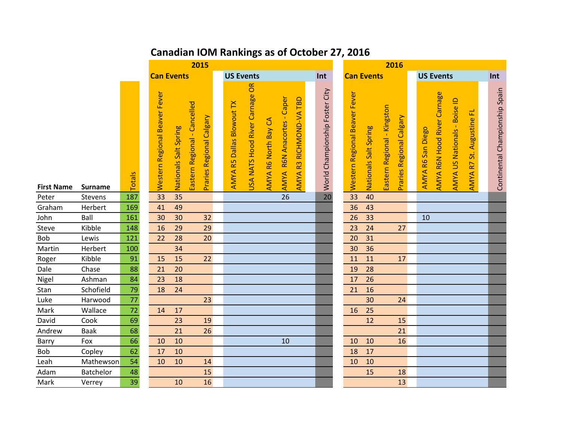## **Canadian IOM Rankings as of October 27, 2016**

|                   |                   | 2015            |                               |                       |                                                          |                                                             |                      |                            |                         |                                | 2016                          |                       |                                                         |                   |                             |                              |                                        |                                |
|-------------------|-------------------|-----------------|-------------------------------|-----------------------|----------------------------------------------------------|-------------------------------------------------------------|----------------------|----------------------------|-------------------------|--------------------------------|-------------------------------|-----------------------|---------------------------------------------------------|-------------------|-----------------------------|------------------------------|----------------------------------------|--------------------------------|
|                   | <b>Can Events</b> |                 |                               |                       |                                                          | <b>US Events</b>                                            |                      |                            |                         | Int                            |                               | <b>Can Events</b>     |                                                         |                   | <b>US Events</b>            |                              |                                        | Int                            |
| <b>First Name</b> | <b>Surname</b>    | Totals          | Western Regional Beaver Fever | Nationals Salt Spring | Eastern Regional - Cancelled<br>Praries Regional Calgary | USA NATS Hood River Carnage OR<br>AMYA R5 Dallas Blowout TX | AMYA R6 North Bay CA | AMYA R6N Anacortes - Caper | AMYA R3 RICHMOND-VA TBD | World Championship Foster City | Western Regional Beaver Fever | Nationals Salt Spring | Eastern Regional - Kingston<br>Praries Regional Calgary | AMYA R6 San Diego | AMYA R6N Hood River Carnage | AMYA US Nationals - Boise ID | 군<br>St. Augustine<br>R<br><b>AMYA</b> | Continental Championship Spain |
| Peter             | Stevens           | 187             | 33                            | 35                    |                                                          |                                                             |                      | $\overline{26}$            |                         | 20                             | 33                            | 40                    |                                                         |                   |                             |                              |                                        |                                |
| Graham            | Herbert           | 169             | 41                            | 49                    |                                                          |                                                             |                      |                            |                         |                                | 36                            | 43                    |                                                         |                   |                             |                              |                                        |                                |
| John              | Ball              | 161             | 30                            | 30                    | 32                                                       |                                                             |                      |                            |                         |                                | 26                            | 33                    |                                                         | 10                |                             |                              |                                        |                                |
| Steve             | Kibble            | 148             | 16                            | 29                    | 29                                                       |                                                             |                      |                            |                         |                                | 23                            | 24                    | 27                                                      |                   |                             |                              |                                        |                                |
| Bob               | Lewis             | 121             | 22                            | 28                    | 20                                                       |                                                             |                      |                            |                         |                                | 20                            | 31                    |                                                         |                   |                             |                              |                                        |                                |
| Martin            | Herbert           | 100             |                               | 34                    |                                                          |                                                             |                      |                            |                         |                                | 30                            | 36                    |                                                         |                   |                             |                              |                                        |                                |
| Roger             | Kibble            | 91              | 15                            | 15                    | 22                                                       |                                                             |                      |                            |                         |                                | 11                            | 11                    | 17                                                      |                   |                             |                              |                                        |                                |
| Dale              | Chase             | 88              | 21                            | 20                    |                                                          |                                                             |                      |                            |                         |                                | 19                            | 28                    |                                                         |                   |                             |                              |                                        |                                |
| Nigel             | Ashman            | 84              | 23                            | 18                    |                                                          |                                                             |                      |                            |                         |                                | 17                            | 26                    |                                                         |                   |                             |                              |                                        |                                |
| Stan              | Schofield         | 79              | 18                            | 24                    |                                                          |                                                             |                      |                            |                         |                                | 21                            | 16                    |                                                         |                   |                             |                              |                                        |                                |
| Luke              | Harwood           | $\overline{77}$ |                               |                       | 23                                                       |                                                             |                      |                            |                         |                                |                               | 30                    | 24                                                      |                   |                             |                              |                                        |                                |
| Mark              | Wallace           | $\overline{72}$ | 14                            | 17                    |                                                          |                                                             |                      |                            |                         |                                | 16                            | 25                    |                                                         |                   |                             |                              |                                        |                                |
| David             | Cook              | 69              |                               | 23                    | 19                                                       |                                                             |                      |                            |                         |                                |                               | 12                    | 15                                                      |                   |                             |                              |                                        |                                |
| Andrew            | <b>Baak</b>       | 68              |                               | 21                    | 26                                                       |                                                             |                      |                            |                         |                                |                               |                       | 21                                                      |                   |                             |                              |                                        |                                |
| Barry             | Fox               | 66              | 10                            | 10                    |                                                          |                                                             |                      | 10                         |                         |                                | 10                            | 10                    | 16                                                      |                   |                             |                              |                                        |                                |
| Bob               | Copley            | 62              | 17                            | 10                    |                                                          |                                                             |                      |                            |                         |                                | 18                            | 17                    |                                                         |                   |                             |                              |                                        |                                |
| Leah              | Mathewson         | 54              | 10                            | 10                    | 14                                                       |                                                             |                      |                            |                         |                                | 10                            | 10                    |                                                         |                   |                             |                              |                                        |                                |
| Adam              | Batchelor         | 48              |                               |                       | 15                                                       |                                                             |                      |                            |                         |                                |                               | 15                    | 18                                                      |                   |                             |                              |                                        |                                |
| Mark              | Verrey            | $\overline{39}$ |                               | 10                    | 16                                                       |                                                             |                      |                            |                         |                                |                               |                       | 13                                                      |                   |                             |                              |                                        |                                |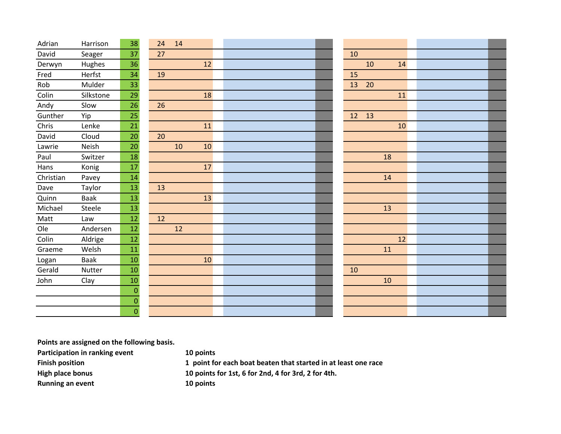| Adrian    | Harrison  | 38               | 14<br>24 |    |  |          |  |
|-----------|-----------|------------------|----------|----|--|----------|--|
| David     | Seager    | 37               | 27       |    |  | 10       |  |
| Derwyn    | Hughes    | 36               |          | 12 |  | 10<br>14 |  |
| Fred      | Herfst    | 34               | 19       |    |  | 15       |  |
| Rob       | Mulder    | 33               |          |    |  | 13<br>20 |  |
| Colin     | Silkstone | 29               |          | 18 |  | 11       |  |
| Andy      | Slow      | 26               | 26       |    |  |          |  |
| Gunther   | Yip       | 25               |          |    |  | 12<br>13 |  |
| Chris     | Lenke     | 21               |          | 11 |  | 10       |  |
| David     | Cloud     | 20               | 20       |    |  |          |  |
| Lawrie    | Neish     | 20               | 10       | 10 |  |          |  |
| Paul      | Switzer   | 18               |          |    |  | 18       |  |
| Hans      | Konig     | 17               |          | 17 |  |          |  |
| Christian | Pavey     | 14               |          |    |  | 14       |  |
| Dave      | Taylor    | 13               | 13       |    |  |          |  |
| Quinn     | Baak      | 13               |          | 13 |  |          |  |
| Michael   | Steele    | 13               |          |    |  | 13       |  |
| Matt      | Law       | 12               | 12       |    |  |          |  |
| Ole       | Andersen  | 12               | 12       |    |  |          |  |
| Colin     | Aldrige   | 12               |          |    |  | 12       |  |
| Graeme    | Welsh     | 11               |          |    |  | 11       |  |
| Logan     | Baak      | 10               |          | 10 |  |          |  |
| Gerald    | Nutter    | 10               |          |    |  | 10       |  |
| John      | Clay      | 10               |          |    |  | 10       |  |
|           |           | $\mathbf 0$      |          |    |  |          |  |
|           |           | $\boldsymbol{0}$ |          |    |  |          |  |
|           |           | 0                |          |    |  |          |  |

**Points are assigned on the following basis.**

**Participation in ranking event 10 points**

**Running an event 10 points**

**Finish position 1 point for each boat beaten that started in at least one race High place bonus 10 points for 1st, 6 for 2nd, 4 for 3rd, 2 for 4th.**